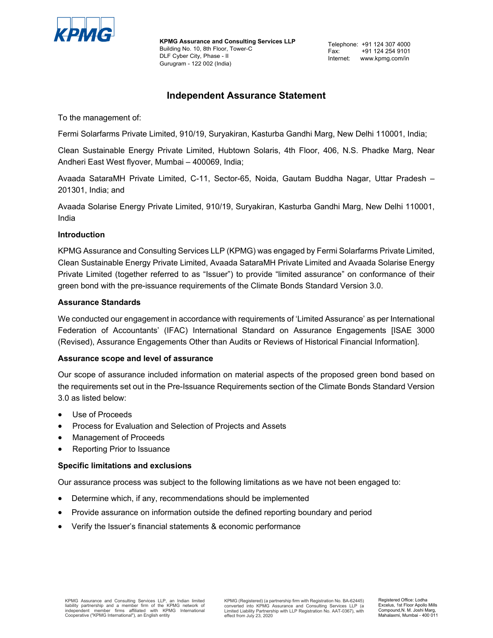

**KPMG Assurance and Consulting Services LLP** Building No. 10, 8th Floor, Tower-C DLF Cyber City, Phase - II Gurugram - 122 002 (India)

# **Independent Assurance Statement**

To the management of:

Fermi Solarfarms Private Limited, 910/19, Suryakiran, Kasturba Gandhi Marg, New Delhi 110001, India;

Clean Sustainable Energy Private Limited, Hubtown Solaris, 4th Floor, 406, N.S. Phadke Marg, Near Andheri East West flyover, Mumbai – 400069, India;

Avaada SataraMH Private Limited, C-11, Sector-65, Noida, Gautam Buddha Nagar, Uttar Pradesh – 201301, India; and

Avaada Solarise Energy Private Limited, 910/19, Suryakiran, Kasturba Gandhi Marg, New Delhi 110001, India

# **Introduction**

KPMG Assurance and Consulting Services LLP (KPMG) was engaged by Fermi Solarfarms Private Limited, Clean Sustainable Energy Private Limited, Avaada SataraMH Private Limited and Avaada Solarise Energy Private Limited (together referred to as "Issuer") to provide "limited assurance" on conformance of their green bond with the pre-issuance requirements of the Climate Bonds Standard Version 3.0.

# **Assurance Standards**

We conducted our engagement in accordance with requirements of 'Limited Assurance' as per International Federation of Accountants' (IFAC) International Standard on Assurance Engagements [ISAE 3000 (Revised), Assurance Engagements Other than Audits or Reviews of Historical Financial Information].

# **Assurance scope and level of assurance**

Our scope of assurance included information on material aspects of the proposed green bond based on the requirements set out in the Pre-Issuance Requirements section of the Climate Bonds Standard Version 3.0 as listed below:

- Use of Proceeds
- Process for Evaluation and Selection of Projects and Assets
- Management of Proceeds
- Reporting Prior to Issuance

# **Specific limitations and exclusions**

Our assurance process was subject to the following limitations as we have not been engaged to:

- Determine which, if any, recommendations should be implemented
- Provide assurance on information outside the defined reporting boundary and period
- Verify the Issuer's financial statements & economic performance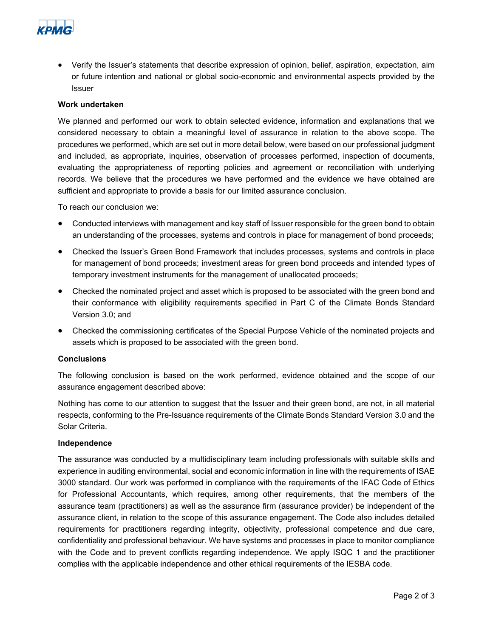

• Verify the Issuer's statements that describe expression of opinion, belief, aspiration, expectation, aim or future intention and national or global socio-economic and environmental aspects provided by the Issuer

## **Work undertaken**

We planned and performed our work to obtain selected evidence, information and explanations that we considered necessary to obtain a meaningful level of assurance in relation to the above scope. The procedures we performed, which are set out in more detail below, were based on our professional judgment and included, as appropriate, inquiries, observation of processes performed, inspection of documents, evaluating the appropriateness of reporting policies and agreement or reconciliation with underlying records. We believe that the procedures we have performed and the evidence we have obtained are sufficient and appropriate to provide a basis for our limited assurance conclusion.

To reach our conclusion we:

- Conducted interviews with management and key staff of Issuer responsible for the green bond to obtain an understanding of the processes, systems and controls in place for management of bond proceeds;
- Checked the Issuer's Green Bond Framework that includes processes, systems and controls in place for management of bond proceeds; investment areas for green bond proceeds and intended types of temporary investment instruments for the management of unallocated proceeds;
- Checked the nominated project and asset which is proposed to be associated with the green bond and their conformance with eligibility requirements specified in Part C of the Climate Bonds Standard Version 3.0; and
- Checked the commissioning certificates of the Special Purpose Vehicle of the nominated projects and assets which is proposed to be associated with the green bond.

#### **Conclusions**

The following conclusion is based on the work performed, evidence obtained and the scope of our assurance engagement described above:

Nothing has come to our attention to suggest that the Issuer and their green bond, are not, in all material respects, conforming to the Pre-Issuance requirements of the Climate Bonds Standard Version 3.0 and the Solar Criteria.

#### **Independence**

The assurance was conducted by a multidisciplinary team including professionals with suitable skills and experience in auditing environmental, social and economic information in line with the requirements of ISAE 3000 standard. Our work was performed in compliance with the requirements of the IFAC Code of Ethics for Professional Accountants, which requires, among other requirements, that the members of the assurance team (practitioners) as well as the assurance firm (assurance provider) be independent of the assurance client, in relation to the scope of this assurance engagement. The Code also includes detailed requirements for practitioners regarding integrity, objectivity, professional competence and due care, confidentiality and professional behaviour. We have systems and processes in place to monitor compliance with the Code and to prevent conflicts regarding independence. We apply ISQC 1 and the practitioner complies with the applicable independence and other ethical requirements of the IESBA code.